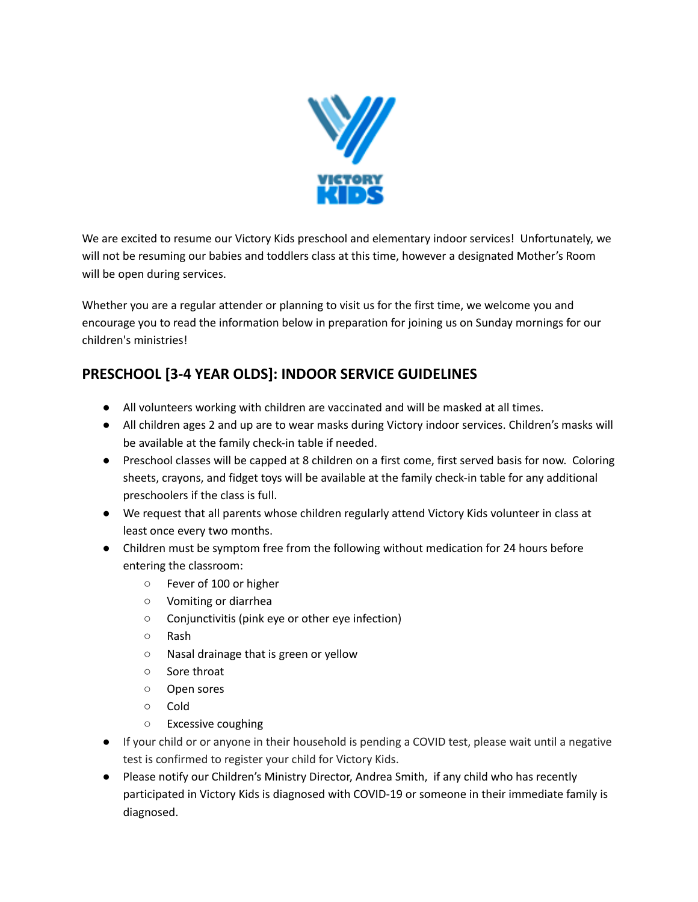

We are excited to resume our Victory Kids preschool and elementary indoor services! Unfortunately, we will not be resuming our babies and toddlers class at this time, however a designated Mother's Room will be open during services.

Whether you are a regular attender or planning to visit us for the first time, we welcome you and encourage you to read the information below in preparation for joining us on Sunday mornings for our children's ministries!

## **PRESCHOOL [3‐4 YEAR OLDS]: INDOOR SERVICE GUIDELINES**

- All volunteers working with children are vaccinated and will be masked at all times.
- All children ages 2 and up are to wear masks during Victory indoor services. Children's masks will be available at the family check-in table if needed.
- Preschool classes will be capped at 8 children on a first come, first served basis for now. Coloring sheets, crayons, and fidget toys will be available at the family check-in table for any additional preschoolers if the class is full.
- We request that all parents whose children regularly attend Victory Kids volunteer in class at least once every two months.
- Children must be symptom free from the following without medication for 24 hours before entering the classroom:
	- Fever of 100 or higher
	- Vomiting or diarrhea
	- Conjunctivitis (pink eye or other eye infection)
	- Rash
	- Nasal drainage that is green or yellow
	- Sore throat
	- Open sores
	- Cold
	- Excessive coughing
- If your child or or anyone in their household is pending a COVID test, please wait until a negative test is confirmed to register your child for Victory Kids.
- Please notify our Children's Ministry Director, Andrea Smith, if any child who has recently participated in Victory Kids is diagnosed with COVID-19 or someone in their immediate family is diagnosed.